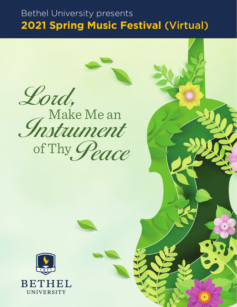# Bethel University presents **2021 Spring Music Festival** (Virtual)

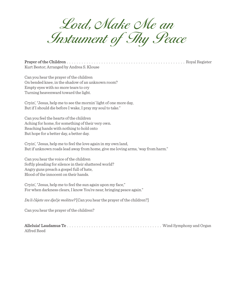Lord, Make Me an Instrument of Thy Peace

Prayer of the Children . . . . . . . . . . . . . . . . . . . . . . . . . . . . . . . . . . . . . . . . . . . . . . . . Royal Register Kurt Bestor; Arranged by Andrea S. Klouse

Can you hear the prayer of the children On bended knee, in the shadow of an unknown room? Empty eyes with no more tears to cry Turning heavenward toward the light.

Cryin', "Jesus, help me to see the mornin' light of one more day, But if I should die before I wake, I pray my soul to take."

Can you feel the hearts of the children Aching for home, for something of their very own. Reaching hands with nothing to hold onto But hope for a better day, a better day.

Cryin', "Jesus, help me to feel the love again in my own land, But if unknown roads lead away from home, give me loving arms, 'way from harm."

Can you hear the voice of the children Softly pleading for silence in their shattered world? Angry guns preach a gospel full of hate, Blood of the innocent on their hands.

Cryin', "Jesus, help me to feel the sun again upon my face," For when darkness clears, I know You're near, bringing peace again."

*Da li čujete sve dječje molitve?* [Can you hear the prayer of the children?]

Can you hear the prayer of the children?

Alleluia! Laudamus Te . . . . . . . . . . . . . . . . . . . . . . . . . . . . . . . . . . . . . . . Wind Symphony and Organ Alfred Reed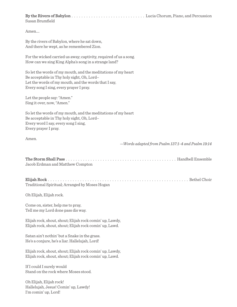By the Rivers of Babylon . . . . . . . . . . . . . . . . . . . . . . . . . . . . . . Lucia Chorum, Piano, and Percussion Susan Brumfield

Amen….

By the rivers of Babylon, where he sat down, And there he wept, as he remembered Zion.

For the wicked carried us away; captivity, required of us a song. How can we sing King Alpha's song in a strange land?

So let the words of my mouth, and the meditations of my heart Be acceptable in Thy holy sight, Oh, Lord– Let the words of my mouth, and the words that I say, Every song I sing, every prayer I pray.

Let the people say: "Amen." Sing it over, now, "Amen."

So let the words of my mouth, and the meditations of my heart Be acceptable in Thy holy sight, Oh, Lord– Every word I say, every song I sing, Every prayer I pray.

Amen.

*—Words adapted from Psalm 137:1-4 and Psalm 19:14*

| Jacob Erdman and Matthew Compton |  |
|----------------------------------|--|

Elijah Rock . . . . . . . . . . . . . . . . . . . . . . . . . . . . . . . . . . . . . . . . . . . . . . . . . . . . . . . . . Bethel Choir Traditional Spiritual; Arranged by Moses Hogan

Oh Elijah, Elijah rock.

Come on, sister, help me to pray, Tell me my Lord done pass dis way.

Elijah rock, shout, shout; Elijah rock comin' up, Lawdy, Elijah rock, shout, shout; Elijah rock comin' up, Lawd.

Satan ain't nothin' but a Snake in the grass. He's a conjure, he's a liar. Hallelujah, Lord!

Elijah rock, shout, shout; Elijah rock comin' up, Lawdy, Elijah rock, shout, shout; Elijah rock comin' up, Lawd.

If I could I surely would Stand on the rock where Moses stood.

Oh Elijah, Elijah rock! Hallelujah, Jesus! Comin' up, Lawdy! I'm comin' up, Lord!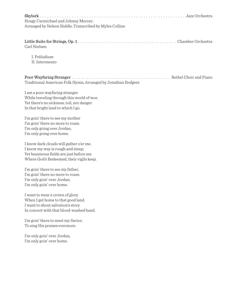| Hoagy Carmichael and Johnny Mercer;                                          |  |
|------------------------------------------------------------------------------|--|
| Arranged by Nelson Riddle; Transcribed by Myles Collins                      |  |
|                                                                              |  |
|                                                                              |  |
| Carl Nielsen                                                                 |  |
| I. Präludium                                                                 |  |
| II. Intermezzo                                                               |  |
|                                                                              |  |
|                                                                              |  |
| Traditional American Folk Hymn; Arranged by Jonathan Rodgers                 |  |
|                                                                              |  |
| I am a poor wayfaring stranger<br>While traveling through this world of woe. |  |
| Yet there's no sickness, toil, nor danger                                    |  |
| In that bright land to which I go.                                           |  |
| I'm goin' there to see my mother                                             |  |
| I'm goin' there no more to roam.                                             |  |
| I'm only going over Jordan,                                                  |  |
| I'm only going over home.                                                    |  |
| I know dark clouds will gather o'er me,                                      |  |
| I know my way is rough and steep;                                            |  |
| Yet beauteous fields are just before me                                      |  |
| Where God's Redeemed, their vigils keep.                                     |  |
| I'm goin' there to see my father,                                            |  |
| I'm goin' there no more to roam.                                             |  |
| I'm only goin' over Jordan,<br>I'm only goin' over home.                     |  |
|                                                                              |  |
| I want to wear a crown of glory                                              |  |
| When I get home to that good land.<br>I want to shout salvation's story      |  |
| In concert with that blood-washed band.                                      |  |
|                                                                              |  |
| I'm goin' there to meet my Savior,<br>To sing His praises evermore.          |  |
|                                                                              |  |
| I'm only goin' over Jordan,                                                  |  |
| I'm only goin' over home.                                                    |  |
|                                                                              |  |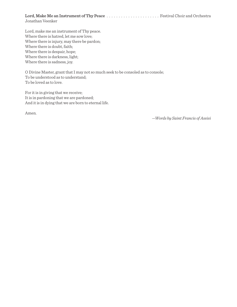Lord, Make Me an Instrument of Thy Peace . . . . . . . . . . . . . . . . . . . . . . Festival Choir and Orchestra Jonathan Veenker

Lord, make me an instrument of Thy peace. Where there is hatred, let me sow love; Where there is injury, may there be pardon; Where there is doubt, faith; Where there is despair, hope; Where there is darkness, light; Where there is sadness, joy.

O Divine Master, grant that I may not so much seek to be consoled as to console; To be understood as to understand; To be loved as to love.

For it is in giving that we receive; It is in pardoning that we are pardoned; And it is in dying that we are born to eternal life.

Amen.

*—Words by Saint Francis of Assisi*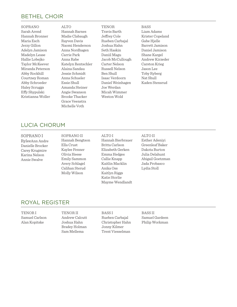# BETHEL CHOIR

SOPRANO Sarah Arend Hannah Bronner Maria Esch Jerzy Gillon Adelyn Jamison Madelyn Lease Hallie Lobejko Taylor McKeever Miranda Peterson Abby Rockhill Courtney Roman Abby Schroeder Haley Scruggs Effy Shypulski Kristianna Woller **ALTO** Hannah Barnes Madie Clabaugh Rayven Davis Naomi Henderson Anna Nordhagen Carrie Park Anna Rabe Katelyn Rentschler Alaina Sandau Jessie Schmidt Anna Schueler Essie Shull Amanda Steiner Angie Swanson Brooke Thacker Grace Veenstra Michelle Voth

TENOR Travis Barth Jeffrey Cole Rueben Carbajal Joshua Hahn Seth Haskin Daniil Magu Jacob McCullough Carter Nelson Russell Nelson Ben Shull Isaac Verdoorn Daniel Weinhagen Joe Werdan Micah Wimmer Weston Wold

**BASS** Liam Adams Krister Copeland Gabe Hjelle Barrett Jamison Daniel Jamison Shane Kargel Andrew Kirzeder Carston Krieg Jason Lee Toby Ryberg Nat Shull Kaden Stensrud

# LUCIA CHORUM

#### SOPRANO I

RyleeAnn Andre Danielle Brocker Carey Krugmire Karina Nelson Annie Swalve

SOPRANO II Hannah Bengtson Ella Crust Kaylee Fenner Olivia Heese Emily Sammon Avery Schlagel Calihan Sterud Molly Wilson

ALTO I Hannah Bierbrauer Britta Carlson Elizabeth Gerken Emma Hedges Callie Knapp Kaitlin Macklin Anika Oss Kaitlyn Riggs Katie Storlie Mayme Wendlandt

ALTO II Esther Adeniyi Greenleaf Baker Dakota Burton Julia Delahunt Abigail Goetzman Jada Probasco Lydia Stoll

## ROYAL REGISTER

TENOR I Samuel Carlson Alan Kopitske

TENOR II Andrew Calcutt Joshua Hahn Bradey Holman Sam Mellema

BASS I Rueben Carbajal Christopher Hahn Jonny Kilmer

Trent Viesselman

BASS II Samuel Gardeen Philip Workman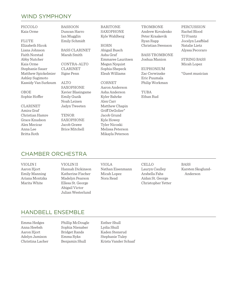# WIND SYMPHONY

PICCOLO Kaia Orme

FLUTE

Elizabeth Hicok Liana Johnson Faith Norstad Abby Nutcher Kaia Orme Stephanie Sauer Matthew Spickelmier Ashley Sugimoto Kassidy Van Surksum

OBOE Sophie Hoffer

CLARINET

Amira Graf Christian Hamre Grace Knudson Alex Mecicar Anna Lee Britta Roth

BASSOON Duncan Harro Ian Mugglin Emily Schmidt

BASS CLARINET Marah Smith

CONTRA-ALTO CLARINET Signe Penn

ALTO SAXOPHONE Xavier Blasingame Emily Guzik Noah Leinen Jadyn Tweeten

TENOR SAXOPHONE Jacob Grawe Brice Mitchell

BARITONE SAXOPHONE Kyle Wahlberg

HORN Abigail Busch Asha Graf Emmaree Lauritsen Megan Nyquist Sophia Shepeck Eleah Williams

CORNET Aaron Anderson Asha Anderson Kyler Bahrke Alex Carr Matthew Chapin Griff DeGolier\* Jacob Grund Kyle Howey Tyler Nicoski Melissa Peterson Mikayla Peterson **TROMBONE** Andrew Kovalenko Peter Kraakevik Ryan Rapp Christian Swenson

BASS TROMBONE Joshua Manion

EUPHONIUM Zac Cerwinske Eric Puumala Philip Workman

TUBA Ethan Rud PERCUSSION Rachel Blood TJ Frantz Jocelyn Leafblad Natalie Lietz Alyssa Pecoraro

STRING BASS Micah Lopez

\*Guest musician

# CHAMBER ORCHESTRA

VIOLIN I Aaron Hjort Emily Manning Ariana Montzka Marita White

VIOLIN II Hannah Dickinson Katherine Fischer Madelyn Pearson Ellesa St. George Abigail Victor Julian Westerlund

VIOLA Nathan Eisenmann Micah Lopez Nora Read

CELLO Lauryn Caulley Arabella Fahs Aidan St. George Christopher Yetter

BASS Karsten Skoglund- Anderson

### HANDBELL ENSEMBLE

Emma Hedges Anna Heebsh Aaron Hjort Adelyn Jamison Christina Lacher

Phillip McDougle Sophia Nienaber Bridget Rands Emma Ryks Benjamin Shull

Esther Shull Lydia Shull Kaden Stensrud Stephanie Tuley Krista Vander Schaaf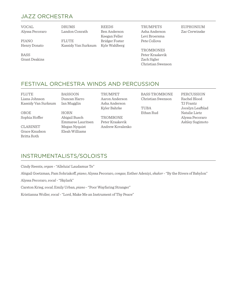# JAZZ ORCHESTRA

VOCAL Alyssa Pecoraro DRUMS Landon Conrath

PIANO Henry Donato

FLUTE Kassidy Van Surksum

FESTIVAL ORCHESTRA WINDS AND PERCUSSION

REEDS Ben Anderson Keegan Feller Bridger Foster Kyle Wahlberg TRUMPETS Asha Anderson Levi Broersma Pete Collova

**TROMBONES** Peter Kraakevik Zach Sigler Christian Swenson EUPHONIUM Zac Cerwinske

**BASS** Grant Deakins

FLUTE Liana Johnson Kassidy Van Surksum

OBOE Sophia Hoffer

CLARINET Grace Knudson Britta Roth

BASSOON Duncan Harro Ian Mugglin HORN Abigail Busch

Emmaree Lauritsen Megan Nyquist Eleah Williams

TRUMPET Aaron Anderson Asha Anderson Kyler Bahrke

**TROMBONE** Peter Kraakevik Andrew Kovalenko BASS TROMBONE Christian Swenson

TUBA Ethan Rud PERCUSSION Rachel Blood TJ Frantz Jocelyn Leafblad Natalie Lietz Alyssa Pecoraro Ashley Sugimoto

# INSTRUMENTALISTS/SOLOISTS

Cindy Reents, *organ* - "Alleluia! Laudamus Te"

Abigail Goetzman, Pam Sohriakoff, *piano*; Alyssa Pecoraro, *congas*; Esther Adeniyi, *shaker* - "By the Rivers of Babylon"

Alyssa Pecoraro, *vocal* - "Skylark"

Carston Krieg, *vocal*; Emily Urban, *piano* - "Poor Wayfaring Stranger"

Kristianna Woller, *vocal* - "Lord, Make Me an Instrument of Thy Peace"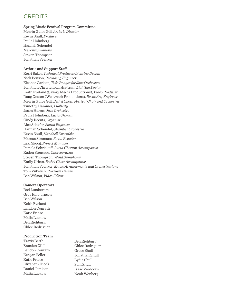# **CREDITS**

#### Spring Music Festival Program Committee

Merrin Guice Gill, *Artistic Director* Kevin Shull, *Producer* Paula Holmberg Hannah Schendel Marcus Simmons Steven Thompson Jonathan Veenker

#### Artistic and Support Staff

Kerri Baker, *Technical Producer/Lighting Design* Nick Benson, *Recording Engineer* Eleanor Carlson, *Title Images for Jazz Orchestra* Jonathon Christenson, *Assistant Lighting Design* Keith Eveland (Savory Media Productions), *Video Producer* Doug Geston (Westmark Productions), *Recording Engineer* Merrin Guice Gill, *Bethel Choir, Festival Choir and Orchestra* Timothy Hammer, *Publicity* Jason Harms, *Jazz Orchestra* Paula Holmberg, *Lucia Chorum* Cindy Reents, *Organist* Alec Schafer, *Sound Engineer* Hannah Schendel, *Chamber Orchestra* Kevin Shull, *Handbell Ensemble* Marcus Simmons, *Royal Register* Lexi Skoog, *Project Manager* Pamela Sohriakoff, *Lucia Chorum Accompanist* Kaden Stensrud, *Choreography* Steven Thompson, *Wind Symphony* Emily Urban, *Bethel Choir Accompanist* Jonathan Veenker, *Music Arrangements and Orchestrations* Tom Vukelich, *Program Design* Ben Wilson, *Video Editor*

### Camera Operators

Rod Lundstrom Greg Kolbjornsen Ben Wilson Keith Eveland Landon Conrath Katie Friese Maija Luckow Ben Richburg, Chloe Rodriguez

### Production Team

Travis Barth Braeden Cliff Landon Conrath Keegan Feller Katie Friese Elizabeth Hicok Daniel Jamison Maija Luckow

Ben Richburg Chloe Rodriguez Grace Shull Jonathan Shull Lydia Shull Sam Shull Isaac Verdoorn Noah Wenberg